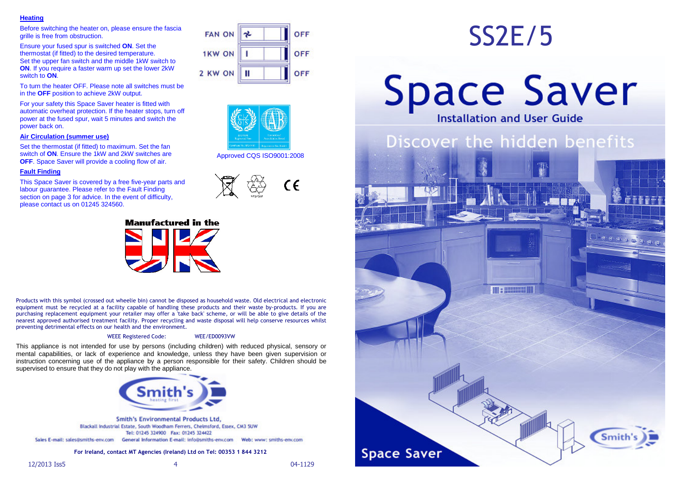### **Heating**

 Before switching the heater on, please ensure the fascia grille is free from obstruction.

Ensure your fused spur is switched **ON**. Set the thermostat (if fitted) to the desired temperature. Set the upper fan switch and the middle 1kW switch to **ON.** If you require a faster warm up set the lower 2kW switch to **ON**.

To turn the heater OFF. Please note all switches must be in the **OFF** position to achieve 2kW output.

For your safety this Space Saver heater is fitted with automatic overheat protection. If the heater stops, turn off power at the fused spur, wait 5 minutes and switch the power back on.

### **Air Circulation (summer use)**

Set the thermostat (if fitted) to maximum. Set the fan switch of **ON**. Ensure the 1kW and 2kW switches are **OFF.** Space Saver will provide a cooling flow of air.

### **Fault Finding**

 This Space Saver is covered by a free five-year parts and labour guarantee. Please refer to the Fault Finding section on page 3 for advice. In the event of difficulty, please contact us on 01245 324560.



### **Manufactured in the**

Products with this symbol (crossed out wheelie bin) cannot be disposed as household waste. Old electrical and electronic equipment must be recycled at a facility capable of handling these products and their waste by-products. If you are purchasing replacement equipment your retailer may offer a 'take back' scheme, or will be able to give details of the nearest approved authorised treatment facility. Proper recycling and waste disposal will help conserve resources whilst preventing detrimental effects on our health and the environment.

#### WEEE Registered Code: WEE/ED0093VW

This appliance is not intended for use by persons (including children) with reduced physical, sensory or mental capabilities, or lack of experience and knowledge, unless they have been given supervision or instruction concerning use of the appliance by a person responsible for their safety. Children should be supervised to ensure that they do not play with the appliance.



**Smith's Environmental Products Ltd.** Blackall Industrial Estate, South Woodham Ferrers, Chelmsford, Essex, CM3 5UW Tel: 01245 324900 Fax: 01245 324422 Sales E-mail: sales@smiths-env.com General Information E-mail: info@smiths-env.com Web: www: smiths-env.com

### **For Ireland, contact MT Agencies (Ireland) Ltd on Tel: 00353 1 844 3212**

| <b>FAN ON</b> | <b>OFF</b> |
|---------------|------------|
| <b>1KW ON</b> | <b>OFF</b> |
| 2 KW ON       | <b>OFF</b> |



Approved CQS ISO9001:2008